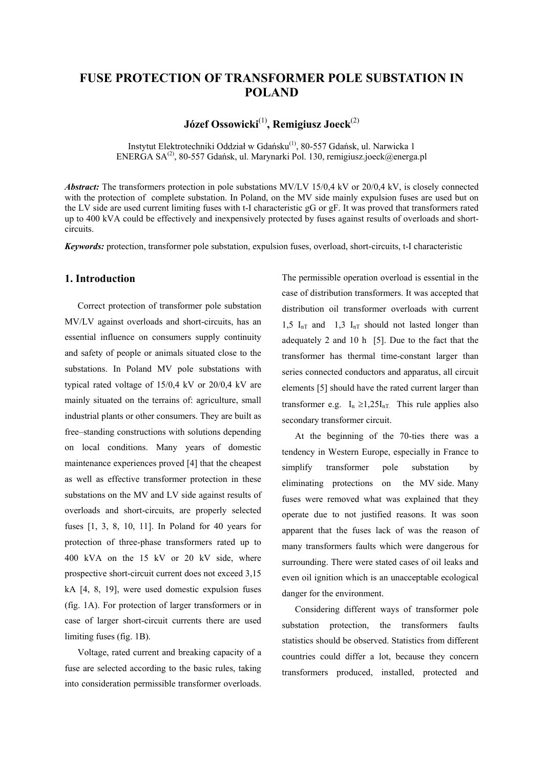# **FUSE PROTECTION OF TRANSFORMER POLE SUBSTATION IN POLAND**

**Józef Ossowicki**(1)**, Remigiusz Joeck**(2)

Instytut Elektrotechniki Oddział w Gdańsku<sup>(1)</sup>, 80-557 Gdańsk, ul. Narwicka 1 ENERGA SA<sup>(2)</sup>, 80-557 Gdańsk, ul. Marynarki Pol. 130, remigiusz.joeck@energa.pl

*Abstract:* The transformers protection in pole substations MV/LV 15/0,4 kV or 20/0,4 kV, is closely connected with the protection of complete substation. In Poland, on the MV side mainly expulsion fuses are used but on the LV side are used current limiting fuses with t-I characteristic gG or gF. It was proved that transformers rated up to 400 kVA could be effectively and inexpensively protected by fuses against results of overloads and shortcircuits.

*Keywords:* protection, transformer pole substation, expulsion fuses, overload, short-circuits, t-I characteristic

#### **1. Introduction**

Correct protection of transformer pole substation MV/LV against overloads and short-circuits, has an essential influence on consumers supply continuity and safety of people or animals situated close to the substations. In Poland MV pole substations with typical rated voltage of 15/0,4 kV or 20/0,4 kV are mainly situated on the terrains of: agriculture, small industrial plants or other consumers. They are built as free–standing constructions with solutions depending on local conditions. Many years of domestic maintenance experiences proved [4] that the cheapest as well as effective transformer protection in these substations on the MV and LV side against results of overloads and short-circuits, are properly selected fuses [1, 3, 8, 10, 11]. In Poland for 40 years for protection of three-phase transformers rated up to 400 kVA on the 15 kV or 20 kV side, where prospective short-circuit current does not exceed 3,15 kA [4, 8, 19], were used domestic expulsion fuses (fig. 1A). For protection of larger transformers or in case of larger short-circuit currents there are used limiting fuses (fig. 1B).

Voltage, rated current and breaking capacity of a fuse are selected according to the basic rules, taking into consideration permissible transformer overloads.

The permissible operation overload is essential in the case of distribution transformers. It was accepted that distribution oil transformer overloads with current 1,5  $I_{nT}$  and 1,3  $I_{nT}$  should not lasted longer than adequately 2 and 10 h [5]. Due to the fact that the transformer has thermal time-constant larger than series connected conductors and apparatus, all circuit elements [5] should have the rated current larger than transformer e.g.  $I_n \geq 1,25I_{nT}$ . This rule applies also secondary transformer circuit.

At the beginning of the 70-ties there was a tendency in Western Europe, especially in France to simplify transformer pole substation by eliminating protections on the MV side. Many fuses were removed what was explained that they operate due to not justified reasons. It was soon apparent that the fuses lack of was the reason of many transformers faults which were dangerous for surrounding. There were stated cases of oil leaks and even oil ignition which is an unacceptable ecological danger for the environment.

Considering different ways of transformer pole substation protection, the transformers faults statistics should be observed. Statistics from different countries could differ a lot, because they concern transformers produced, installed, protected and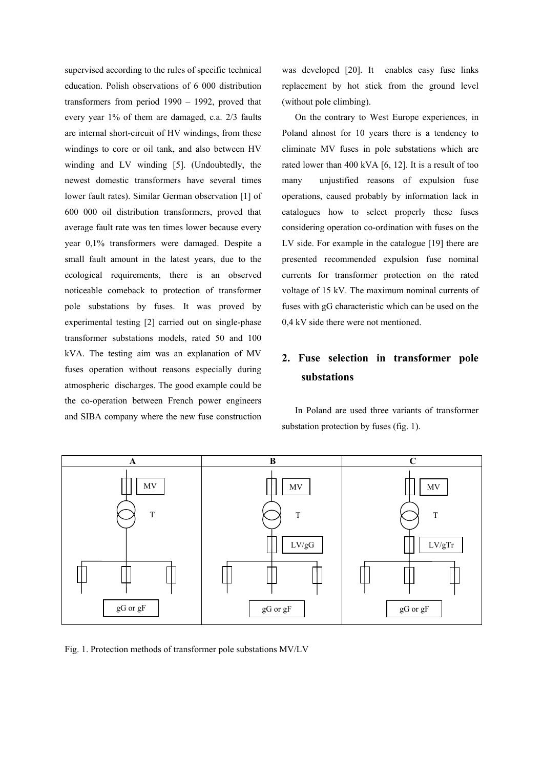supervised according to the rules of specific technical education. Polish observations of 6 000 distribution transformers from period 1990 – 1992, proved that every year 1% of them are damaged, c.a. 2/3 faults are internal short-circuit of HV windings, from these windings to core or oil tank, and also between HV winding and LV winding [5]. (Undoubtedly, the newest domestic transformers have several times lower fault rates). Similar German observation [1] of 600 000 oil distribution transformers, proved that average fault rate was ten times lower because every year 0,1% transformers were damaged. Despite a small fault amount in the latest years, due to the ecological requirements, there is an observed noticeable comeback to protection of transformer pole substations by fuses. It was proved by experimental testing [2] carried out on single-phase transformer substations models, rated 50 and 100 kVA. The testing aim was an explanation of MV fuses operation without reasons especially during atmospheric discharges. The good example could be the co-operation between French power engineers and SIBA company where the new fuse construction was developed [20]. It enables easy fuse links replacement by hot stick from the ground level (without pole climbing).

On the contrary to West Europe experiences, in Poland almost for 10 years there is a tendency to eliminate MV fuses in pole substations which are rated lower than 400 kVA [6, 12]. It is a result of too many unjustified reasons of expulsion fuse operations, caused probably by information lack in catalogues how to select properly these fuses considering operation co-ordination with fuses on the LV side. For example in the catalogue [19] there are presented recommended expulsion fuse nominal currents for transformer protection on the rated voltage of 15 kV. The maximum nominal currents of fuses with gG characteristic which can be used on the 0,4 kV side there were not mentioned.

# **2. Fuse selection in transformer pole substations**

In Poland are used three variants of transformer substation protection by fuses (fig. 1).



Fig. 1. Protection methods of transformer pole substations MV/LV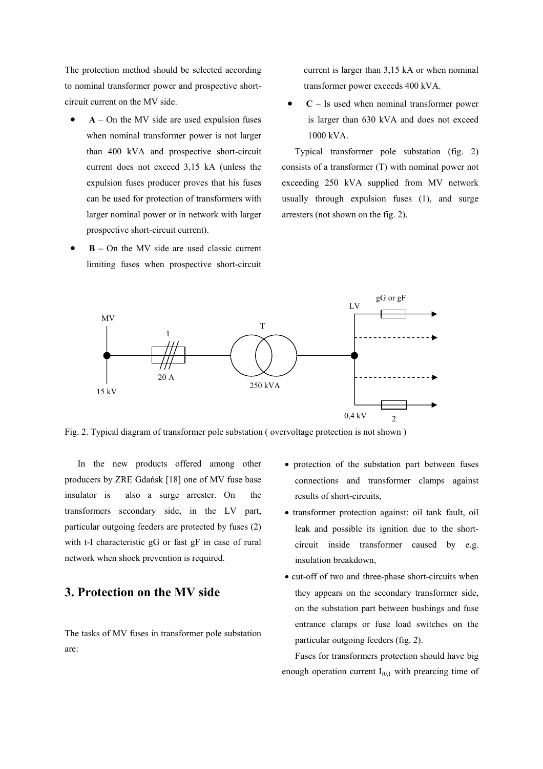The protection method should be selected according to nominal transformer power and prospective shortcircuit current on the MV side.

- $A$  On the MV side are used expulsion fuses when nominal transformer power is not larger than 400 kVA and prospective short-circuit current does not exceed 3,15 kA (unless the expulsion fuses producer proves that his fuses can be used for protection of transformers with larger nominal power or in network with larger prospective short-circuit current).
- • **B** On the MV side are used classic current limiting fuses when prospective short-circuit

current is larger than 3,15 kA or when nominal transformer power exceeds 400 kVA.

• **C** – Is used when nominal transformer power is larger than 630 kVA and does not exceed 1000 kVA.

Typical transformer pole substation (fig. 2) consists of a transformer (T) with nominal power not exceeding 250 kVA supplied from MV network usually through expulsion fuses (1), and surge arresters (not shown on the fig. 2).



Fig. 2. Typical diagram of transformer pole substation ( overvoltage protection is not shown )

In the new products offered among other producers by ZRE Gdańsk [18] one of MV fuse base insulator is also a surge arrester. On the transformers secondary side, in the LV part, particular outgoing feeders are protected by fuses (2) with t-I characteristic gG or fast gF in case of rural network when shock prevention is required.

## **3. Protection on the MV side**

The tasks of MV fuses in transformer pole substation are:

- protection of the substation part between fuses connections and transformer clamps against results of short-circuits,
- transformer protection against: oil tank fault, oil leak and possible its ignition due to the shortcircuit inside transformer caused by e.g. insulation breakdown,
- cut-off of two and three-phase short-circuits when they appears on the secondary transformer side, on the substation part between bushings and fuse entrance clamps or fuse load switches on the particular outgoing feeders (fig. 2).

Fuses for transformers protection should have big enough operation current  $I_{f0,1}$  with prearcing time of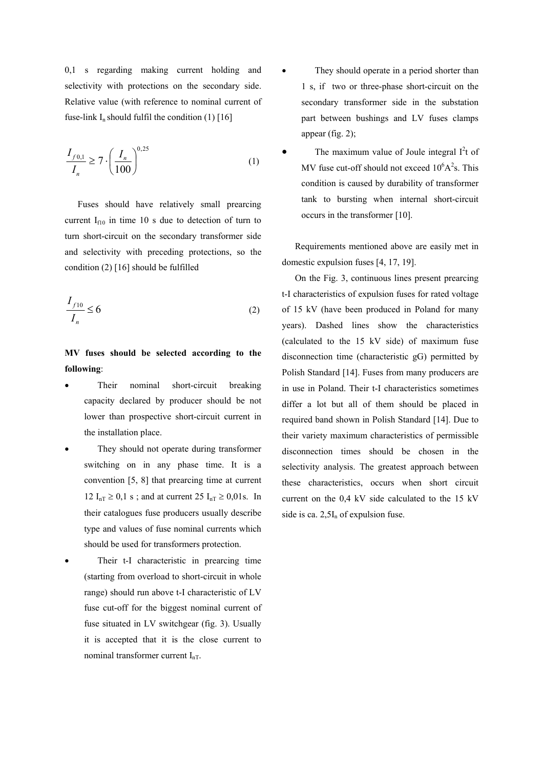0,1 s regarding making current holding and selectivity with protections on the secondary side. Relative value (with reference to nominal current of fuse-link  $I_n$  should fulfil the condition (1) [16]

$$
\frac{I_{f0,1}}{I_n} \ge 7 \cdot \left(\frac{I_n}{100}\right)^{0.25}
$$
 (1)

Fuses should have relatively small prearcing current  $I_{f10}$  in time 10 s due to detection of turn to turn short-circuit on the secondary transformer side and selectivity with preceding protections, so the condition (2) [16] should be fulfilled

$$
\frac{I_{f10}}{I_n} \le 6\tag{2}
$$

### **MV fuses should be selected according to the following**:

- Their nominal short-circuit breaking capacity declared by producer should be not lower than prospective short-circuit current in the installation place.
- They should not operate during transformer switching on in any phase time. It is a convention [5, 8] that prearcing time at current 12  $I_{nT} \ge 0.1$  s; and at current 25  $I_{nT} \ge 0.01$  s. In their catalogues fuse producers usually describe type and values of fuse nominal currents which should be used for transformers protection.
- Their t-I characteristic in prearcing time (starting from overload to short-circuit in whole range) should run above t-I characteristic of LV fuse cut-off for the biggest nominal current of fuse situated in LV switchgear (fig. 3). Usually it is accepted that it is the close current to nominal transformer current  $I_{nT}$ .
- They should operate in a period shorter than 1 s, if two or three-phase short-circuit on the secondary transformer side in the substation part between bushings and LV fuses clamps appear (fig. 2);
- The maximum value of Joule integral  $I<sup>2</sup>t$  of MV fuse cut-off should not exceed  $10^6$ A $^2$ s. This condition is caused by durability of transformer tank to bursting when internal short-circuit occurs in the transformer [10].

Requirements mentioned above are easily met in domestic expulsion fuses [4, 17, 19].

On the Fig. 3, continuous lines present prearcing t-I characteristics of expulsion fuses for rated voltage of 15 kV (have been produced in Poland for many years). Dashed lines show the characteristics (calculated to the 15 kV side) of maximum fuse disconnection time (characteristic gG) permitted by Polish Standard [14]. Fuses from many producers are in use in Poland. Their t-I characteristics sometimes differ a lot but all of them should be placed in required band shown in Polish Standard [14]. Due to their variety maximum characteristics of permissible disconnection times should be chosen in the selectivity analysis. The greatest approach between these characteristics, occurs when short circuit current on the 0,4 kV side calculated to the 15 kV side is ca.  $2.5I_n$  of expulsion fuse.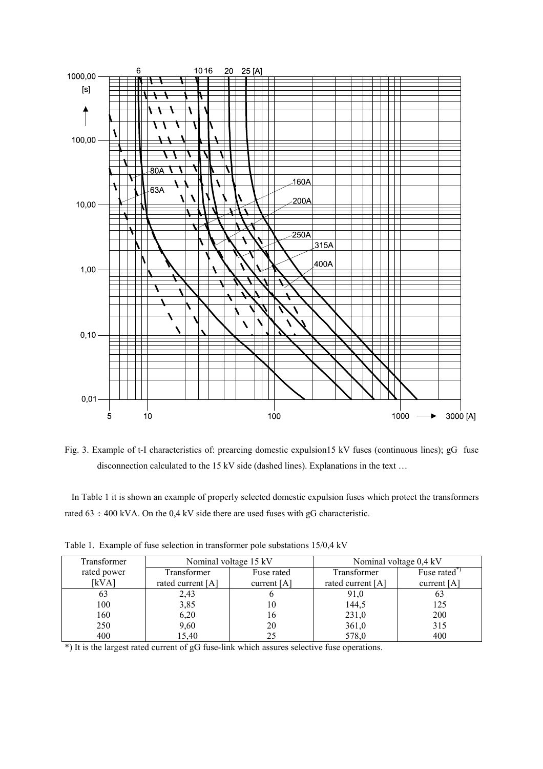

Fig. 3. Example of t-I characteristics of: prearcing domestic expulsion15 kV fuses (continuous lines); gG fuse disconnection calculated to the 15 kV side (dashed lines). Explanations in the text …

 In Table 1 it is shown an example of properly selected domestic expulsion fuses which protect the transformers rated  $63 \div 400$  kVA. On the 0,4 kV side there are used fuses with gG characteristic.

| Transformer | Nominal voltage 15 kV |               | Nominal voltage 0,4 kV |               |
|-------------|-----------------------|---------------|------------------------|---------------|
| rated power | Transformer           | Fuse rated    | Transformer            | Fuse rated    |
| [kVA]       | rated current [A]     | current $[A]$ | rated current [A]      | current $[A]$ |
| 63          | 2,43                  |               | 91,0                   | 63            |
| 100         | 3,85                  | 10            | 144,5                  | 125           |
| 160         | 6,20                  | 16            | 231,0                  | 200           |
| 250         | 9,60                  | 20            | 361,0                  | 315           |
| 400         | 15,40                 | 25            | 578,0                  | 400           |

Table 1. Example of fuse selection in transformer pole substations 15/0,4 kV

\*) It is the largest rated current of gG fuse-link which assures selective fuse operations.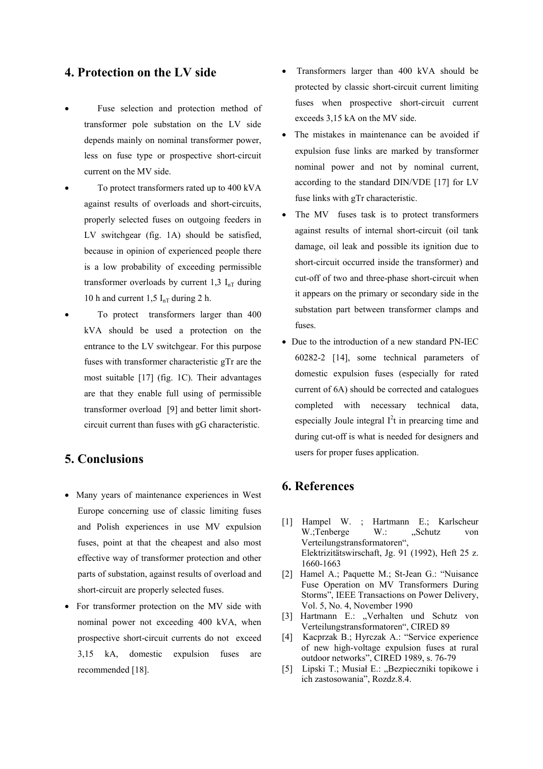### **4. Protection on the LV side**

- Fuse selection and protection method of transformer pole substation on the LV side depends mainly on nominal transformer power, less on fuse type or prospective short-circuit current on the MV side.
- To protect transformers rated up to 400 kVA against results of overloads and short-circuits, properly selected fuses on outgoing feeders in LV switchgear (fig. 1A) should be satisfied, because in opinion of experienced people there is a low probability of exceeding permissible transformer overloads by current 1,3  $I_{nT}$  during 10 h and current 1,5  $I_{nT}$  during 2 h.
- To protect transformers larger than 400 kVA should be used a protection on the entrance to the LV switchgear. For this purpose fuses with transformer characteristic gTr are the most suitable [17] (fig. 1C). Their advantages are that they enable full using of permissible transformer overload [9] and better limit shortcircuit current than fuses with gG characteristic.

# **5. Conclusions**

- Many years of maintenance experiences in West Europe concerning use of classic limiting fuses and Polish experiences in use MV expulsion fuses, point at that the cheapest and also most effective way of transformer protection and other parts of substation, against results of overload and short-circuit are properly selected fuses.
- For transformer protection on the MV side with nominal power not exceeding 400 kVA, when prospective short-circuit currents do not exceed 3,15 kA, domestic expulsion fuses are recommended [18].
- Transformers larger than 400 kVA should be protected by classic short-circuit current limiting fuses when prospective short-circuit current exceeds 3,15 kA on the MV side.
- The mistakes in maintenance can be avoided if expulsion fuse links are marked by transformer nominal power and not by nominal current, according to the standard DIN/VDE [17] for LV fuse links with gTr characteristic.
- The MV fuses task is to protect transformers against results of internal short-circuit (oil tank damage, oil leak and possible its ignition due to short-circuit occurred inside the transformer) and cut-off of two and three-phase short-circuit when it appears on the primary or secondary side in the substation part between transformer clamps and fuses.
- Due to the introduction of a new standard PN-IEC 60282-2 [14], some technical parameters of domestic expulsion fuses (especially for rated current of 6A) should be corrected and catalogues completed with necessary technical data, especially Joule integral  $I<sup>2</sup>t$  in prearcing time and during cut-off is what is needed for designers and users for proper fuses application.

# **6. References**

- [1] Hampel W. ; Hartmann E.; Karlscheur W.;Tenberge W.: "Schutz von Verteilungstransformatoren", Elektrizitätswirschaft, Jg. 91 (1992), Heft 25 z. 1660-1663
- [2] Hamel A.; Paquette M.; St-Jean G.: "Nuisance Fuse Operation on MV Transformers During Storms", IEEE Transactions on Power Delivery, Vol. 5, No. 4, November 1990
- [3] Hartmann E.: "Verhalten und Schutz von Verteilungstransformatoren", CIRED 89
- [4] Kacprzak B.; Hyrczak A.: "Service experience of new high-voltage expulsion fuses at rural outdoor networks", CIRED 1989, s. 76-79
- [5] Lipski T.; Musiał E.: "Bezpieczniki topikowe i ich zastosowania", Rozdz.8.4.